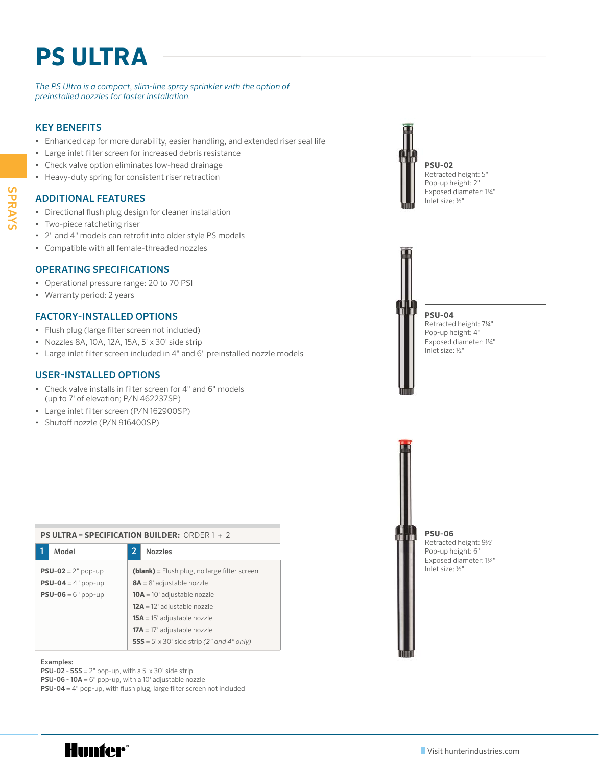# **PS ULTRA**

#### *The PS Ultra is a compact, slim-line spray sprinkler with the option of preinstalled nozzles for faster installation.*

# KEY BENEFITS

- Enhanced cap for more durability, easier handling, and extended riser seal life
- Large inlet filter screen for increased debris resistance
- Check valve option eliminates low-head drainage
- Heavy-duty spring for consistent riser retraction

## ADDITIONAL FEATURES

- Directional flush plug design for cleaner installation
- Two-piece ratcheting riser
- 2" and 4" models can retrofit into older style PS models
- Compatible with all female-threaded nozzles

#### OPERATING SPECIFICATIONS

- Operational pressure range: 20 to 70 PSI
- Warranty period: 2 years

# FACTORY-INSTALLED OPTIONS

- Flush plug (large filter screen not included)
- Nozzles 8A, 10A, 12A, 15A, 5' x 30' side strip
- Large inlet filter screen included in 4" and 6" preinstalled nozzle models

## USER-INSTALLED OPTIONS

• Check valve installs in filter screen for 4" and 6" models (up to 7' of elevation; P/N 462237SP)

**PS ULTRA – SPECIFICATION BUILDER:** ORDER 1 + 2

- Large inlet filter screen (P/N 162900SP)
- Shutoff nozzle (P/N 916400SP)

| PS ULIRA - SPELIFILATION BUILDER: URDER T + Z                     |                                                   |  |  |  |  |  |  |  |
|-------------------------------------------------------------------|---------------------------------------------------|--|--|--|--|--|--|--|
| Model                                                             | 2<br><b>Nozzles</b>                               |  |  |  |  |  |  |  |
| <b>PSU-02</b> = $2^{\circ}$ pop-up                                | (blank) = Flush plug, no large filter screen      |  |  |  |  |  |  |  |
| <b>PSU-04</b> = $4^{\circ}$ pop-up<br>$8A = 8'$ adjustable nozzle |                                                   |  |  |  |  |  |  |  |
| $PSU-06 = 6" pop-up$<br>$10A = 10'$ adjustable nozzle             |                                                   |  |  |  |  |  |  |  |
|                                                                   | $12A = 12'$ adjustable nozzle                     |  |  |  |  |  |  |  |
|                                                                   | $15A = 15'$ adjustable nozzle                     |  |  |  |  |  |  |  |
|                                                                   | $17A = 17'$ adjustable nozzle                     |  |  |  |  |  |  |  |
|                                                                   | <b>555</b> = 5' x 30' side strip (2" and 4" only) |  |  |  |  |  |  |  |

#### Examples:

**PSU-02 - 5SS** =  $2^{\circ}$  pop-up, with a  $5' \times 30'$  side strip

PSU-06 - 10A = 6" pop-up, with a 10' adjustable nozzle

PSU-04 = 4" pop-up, with flush plug, large filter screen not included

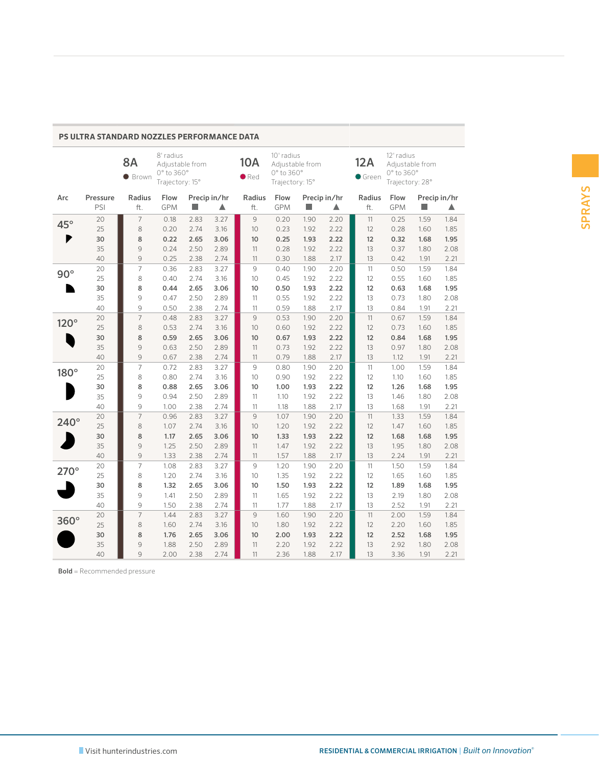|             |                 | <b>8A</b><br><b>Brown</b> | 8' radius<br>Adjustable from<br>0° to 360°<br>Trajectory: 15° |              |                   | 10A<br>$\bullet$ Red | 10' radius<br>0° to 360°<br>Trajectory: 15° | Adjustable from    |              | 12A<br>Green  | 12' radius<br>0° to 360°<br>Trajectory: 28° | Adjustable from |                   |
|-------------|-----------------|---------------------------|---------------------------------------------------------------|--------------|-------------------|----------------------|---------------------------------------------|--------------------|--------------|---------------|---------------------------------------------|-----------------|-------------------|
| Arc         | Pressure<br>PSI | Radius<br>ft.             | Flow<br><b>GPM</b>                                            | п            | Precip in/hr<br>▲ | Radius<br>ft.        | Flow<br><b>GPM</b>                          | Precip in/hr<br>H. | ▲            | Radius<br>ft. | Flow<br><b>GPM</b>                          | m.              | Precip in/hr<br>Δ |
| 45°         | 20              | $\overline{7}$            | 0.18                                                          | 2.83         | 3.27              | 9                    | 0.20                                        | 1.90               | 2.20         | 11            | 0.25                                        | 1.59            | 1.84              |
|             | 25              | 8                         | 0.20                                                          | 2.74         | 3.16              | 10                   | 0.23                                        | 1.92               | 2.22         | 12            | 0.28                                        | 1.60            | 1.85              |
|             | 30              | 8                         | 0.22                                                          | 2.65         | 3.06              | 10                   | 0.25                                        | 1.93               | 2.22         | 12            | 0.32                                        | 1.68            | 1.95              |
|             | 35              | 9                         | 0.24                                                          | 2.50         | 2.89              | 11                   | 0.28                                        | 1.92               | 2.22         | 13            | 0.37                                        | 1.80            | 2.08              |
|             | 40              | 9                         | 0.25                                                          | 2.38         | 2.74              | 11                   | 0.30                                        | 1.88               | 2.17         | 13            | 0.42                                        | 1.91            | 2.21              |
| $90^\circ$  | 20              | $\overline{7}$            | 0.36                                                          | 2.83         | 3.27              | 9                    | 0.40                                        | 1.90               | 2.20         | 11            | 0.50                                        | 1.59            | 1.84              |
|             | 25              | 8                         | 0.40                                                          | 2.74         | 3.16              | 10                   | 0.45                                        | 1.92               | 2.22         | 12            | 0.55                                        | 1.60            | 1.85              |
|             | 30              | 8                         | 0.44                                                          | 2.65         | 3.06              | 10                   | 0.50                                        | 1.93               | 2.22         | 12            | 0.63                                        | 1.68            | 1.95              |
|             | 35              | 9                         | 0.47                                                          | 2.50         | 2.89              | 11                   | 0.55                                        | 1.92               | 2.22         | 13            | 0.73                                        | 1.80            | 2.08              |
|             | 40              | 9                         | 0.50                                                          | 2.38         | 2.74              | 11                   | 0.59                                        | 1.88               | 2.17         | 13            | 0.84                                        | 1.91            | 2.21              |
| $120^\circ$ | 20              | $\overline{7}$            | 0.48                                                          | 2.83         | 3.27              | 9                    | 0.53                                        | 1.90               | 2.20         | 11            | 0.67                                        | 1.59            | 1.84              |
|             | 25              | 8                         | 0.53                                                          | 2.74         | 3.16              | 10                   | 0.60                                        | 1.92               | 2.22         | 12            | 0.73                                        | 1.60            | 1.85              |
|             | 30              | 8                         | 0.59                                                          | 2.65         | 3.06              | 10                   | 0.67                                        | 1.93               | 2.22         | 12            | 0.84                                        | 1.68            | 1.95              |
|             | 35              | 9<br>9                    | 0.63                                                          | 2.50         | 2.89              | 11                   | 0.73                                        | 1.92               | 2.22<br>2.17 | 13<br>13      | 0.97                                        | 1.80            | 2.08              |
|             | 40              | $\overline{7}$            | 0.67<br>0.72                                                  | 2.38         | 2.74<br>3.27      | 11<br>9              | 0.79                                        | 1.88               | 2.20         |               | 1.12                                        | 1.91            | 2.21<br>1.84      |
| 180°        | 20<br>25        | 8                         | 0.80                                                          | 2.83<br>2.74 | 3.16              | 10                   | 0.80<br>0.90                                | 1.90<br>1.92       | 2.22         | 11<br>12      | 1.00<br>1.10                                | 1.59<br>1.60    | 1.85              |
|             | 30              | 8                         | 0.88                                                          | 2.65         | 3.06              | 10                   | 1.00                                        | 1.93               | 2.22         | 12            | 1.26                                        | 1.68            | 1.95              |
|             | 35              | 9                         | 0.94                                                          | 2.50         | 2.89              | 11                   | 1.10                                        | 1.92               | 2.22         | 13            | 1.46                                        | 1.80            | 2.08              |
|             | 40              | 9                         | 1.00                                                          | 2.38         | 2.74              | 11                   | 1.18                                        | 1.88               | 2.17         | 13            | 1.68                                        | 1.91            | 2.21              |
|             | 20              | $\overline{7}$            | 0.96                                                          | 2.83         | 3.27              | 9                    | 1.07                                        | 1.90               | 2.20         | 11            | 1.33                                        | 1.59            | 1.84              |
| $240^\circ$ | 25              | 8                         | 1.07                                                          | 2.74         | 3.16              | 10                   | 1.20                                        | 1.92               | 2.22         | 12            | 1.47                                        | 1.60            | 1.85              |
|             | 30              | 8                         | 1.17                                                          | 2.65         | 3.06              | 10                   | 1.33                                        | 1.93               | 2.22         | 12            | 1.68                                        | 1.68            | 1.95              |
|             | 35              | 9                         | 1.25                                                          | 2.50         | 2.89              | 11                   | 1.47                                        | 1.92               | 2.22         | 13            | 1.95                                        | 1.80            | 2.08              |
|             | 40              | 9                         | 1.33                                                          | 2.38         | 2.74              | 11                   | 1.57                                        | 1.88               | 2.17         | 13            | 2.24                                        | 1.91            | 2.21              |
|             | 20              | $\overline{7}$            | 1.08                                                          | 2.83         | 3.27              | 9                    | 1.20                                        | 1.90               | 2.20         | 11            | 1.50                                        | 1.59            | 1.84              |
| $270^\circ$ | 25              | 8                         | 1.20                                                          | 2.74         | 3.16              | 10                   | 1.35                                        | 1.92               | 2.22         | 12            | 1.65                                        | 1.60            | 1.85              |
|             | 30              | 8                         | 1.32                                                          | 2.65         | 3.06              | 10                   | 1.50                                        | 1.93               | 2.22         | 12            | 1.89                                        | 1.68            | 1.95              |
|             | 35              | 9                         | 1.41                                                          | 2.50         | 2.89              | 11                   | 1.65                                        | 1.92               | 2.22         | 13            | 2.19                                        | 1.80            | 2.08              |
|             | 40              | 9                         | 1.50                                                          | 2.38         | 2.74              | 11                   | 1.77                                        | 1.88               | 2.17         | 13            | 2.52                                        | 1.91            | 2.21              |
|             | 20              | $\overline{7}$            | 1.44                                                          | 2.83         | 3.27              | $\mathsf{G}$         | 1.60                                        | 1.90               | 2.20         | 11            | 2.00                                        | 1.59            | 1.84              |
| 360°        | 25              | 8                         | 1.60                                                          | 2.74         | 3.16              | 10                   | 1.80                                        | 1.92               | 2.22         | 12            | 2.20                                        | 1.60            | 1.85              |
|             | 30              | 8                         | 1.76                                                          | 2.65         | 3.06              | 10                   | 2.00                                        | 1.93               | 2.22         | 12            | 2.52                                        | 1.68            | 1.95              |
|             | 35              | 9                         | 1.88                                                          | 2.50         | 2.89              | 11                   | 2.20                                        | 1.92               | 2.22         | 13            | 2.92                                        | 1.80            | 2.08              |
|             | 40              | $\mathsf{Q}$              | 2.00                                                          | 2.38         | 2.74              | 11                   | 2.36                                        | 1.88               | 2.17         | 13            | 3.36                                        | 1.91            | 2.21              |

**PS ULTRA STANDARD NOZZLES PERFORMANCE DATA**

Bold = Recommended pressure